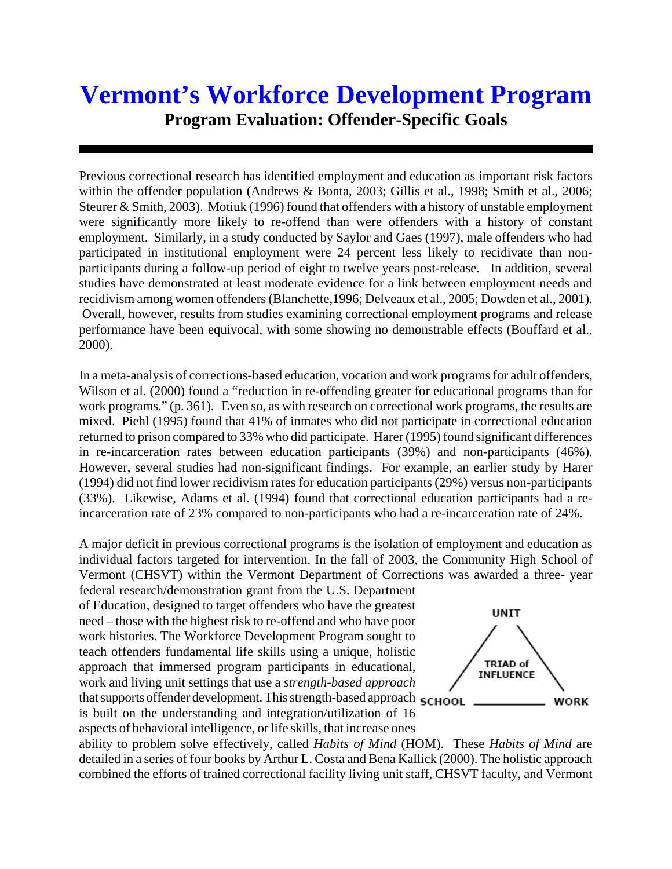## **Vermont's Workforce Development Program Program Evaluation: Offender-Specific Goals**

Previous correctional research has identified employment and education as important risk factors within the offender population (Andrews & Bonta, 2003; Gillis et al., 1998; Smith et al., 2006; Steurer & Smith, 2003). Motiuk (1996) found that offenders with a history of unstable employment were significantly more likely to re-offend than were offenders with a history of constant employment. Similarly, in a study conducted by Saylor and Gaes (1997), male offenders who had participated in institutional employment were 24 percent less likely to recidivate than nonparticipants during a follow-up period of eight to twelve years post-release. In addition, several studies have demonstrated at least moderate evidence for a link between employment needs and recidivism among women offenders (Blanchette,1996; Delveaux et al., 2005; Dowden et al., 2001). Overall, however, results from studies examining correctional employment programs and release performance have been equivocal, with some showing no demonstrable effects (Bouffard et al., 2000).

In a meta-analysis of corrections-based education, vocation and work programs for adult offenders, Wilson et al. (2000) found a "reduction in re-offending greater for educational programs than for work programs." (p. 361). Even so, as with research on correctional work programs, the results are mixed. Piehl (1995) found that 41% of inmates who did not participate in correctional education returned to prison compared to 33% who did participate. Harer (1995) found significant differences in re-incarceration rates between education participants (39%) and non-participants (46%). However, several studies had non-significant findings. For example, an earlier study by Harer (1994) did not find lower recidivism rates for education participants (29%) versus non-participants (33%). Likewise, Adams et al. (1994) found that correctional education participants had a reincarceration rate of 23% compared to non-participants who had a re-incarceration rate of 24%.

A major deficit in previous correctional programs is the isolation of employment and education as individual factors targeted for intervention. In the fall of 2003, the Community High School of Vermont (CHSVT) within the Vermont Department of Corrections was awarded a three- year

federal research/demonstration grant from the U.S. Department of Education, designed to target offenders who have the greatest need – those with the highest risk to re-offend and who have poor work histories. The Workforce Development Program sought to teach offenders fundamental life skills using a unique, holistic approach that immersed program participants in educational, work and living unit settings that use a *strength-based approach* that supports offender development. This strength-based approach **SCHOOL** is built on the understanding and integration/utilization of 16 aspects of behavioral intelligence, or life skills, that increase ones



ability to problem solve effectively, called *Habits of Mind* (HOM). These *Habits of Mind* are detailed in a series of four books by Arthur L. Costa and Bena Kallick (2000). The holistic approach combined the efforts of trained correctional facility living unit staff, CHSVT faculty, and Vermont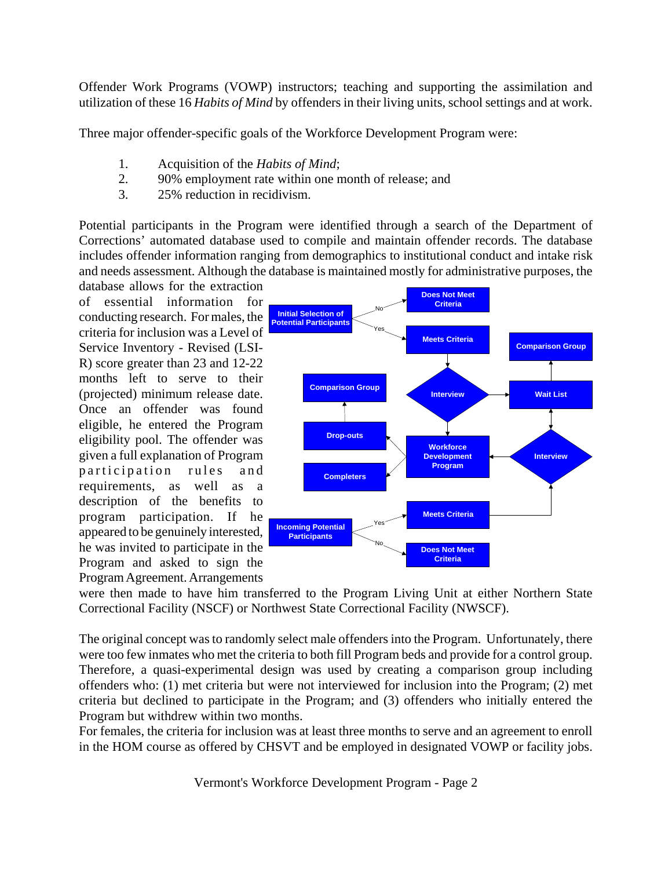Offender Work Programs (VOWP) instructors; teaching and supporting the assimilation and utilization of these 16 *Habits of Mind* by offenders in their living units, school settings and at work.

Three major offender-specific goals of the Workforce Development Program were:

- 1. Acquisition of the *Habits of Mind*;
- 2. 90% employment rate within one month of release; and
- 3. 25% reduction in recidivism.

Potential participants in the Program were identified through a search of the Department of Corrections' automated database used to compile and maintain offender records. The database includes offender information ranging from demographics to institutional conduct and intake risk and needs assessment. Although the database is maintained mostly for administrative purposes, the database allows for the extraction

of essential information for conducting research. For males, the criteria for inclusion was a Level of Service Inventory - Revised (LSI-R) score greater than 23 and 12-22 months left to serve to their (projected) minimum release date. Once an offender was found eligible, he entered the Program eligibility pool. The offender was given a full explanation of Program participation rules and requirements, as well as a description of the benefits to program participation. If he appeared to be genuinely interested, he was invited to participate in the Program and asked to sign the Program Agreement. Arrangements



were then made to have him transferred to the Program Living Unit at either Northern State Correctional Facility (NSCF) or Northwest State Correctional Facility (NWSCF).

The original concept was to randomly select male offenders into the Program. Unfortunately, there were too few inmates who met the criteria to both fill Program beds and provide for a control group. Therefore, a quasi-experimental design was used by creating a comparison group including offenders who: (1) met criteria but were not interviewed for inclusion into the Program; (2) met criteria but declined to participate in the Program; and (3) offenders who initially entered the Program but withdrew within two months.

For females, the criteria for inclusion was at least three months to serve and an agreement to enroll in the HOM course as offered by CHSVT and be employed in designated VOWP or facility jobs.

Vermont's Workforce Development Program - Page 2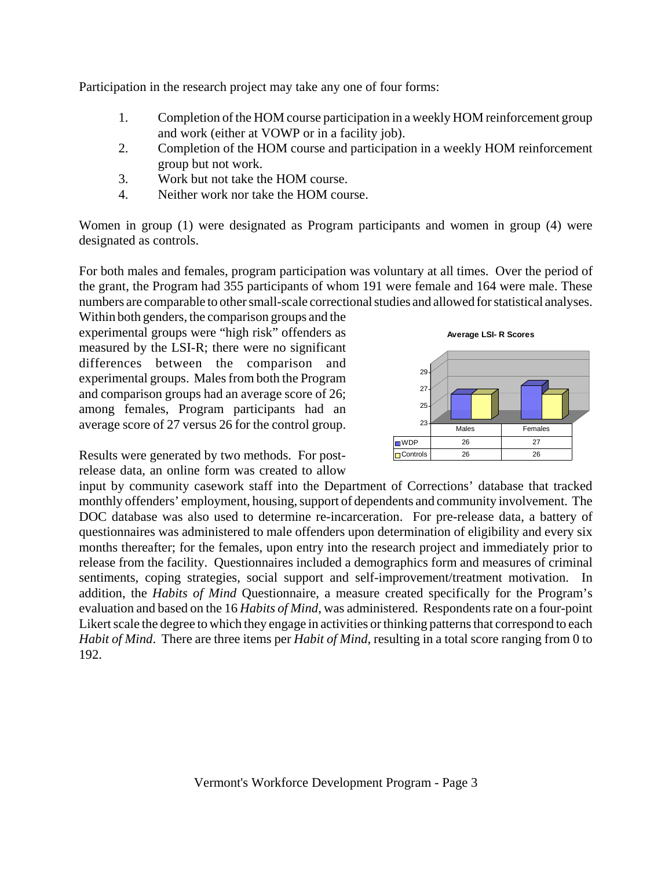Participation in the research project may take any one of four forms:

- 1. Completion of the HOM course participation in a weekly HOM reinforcement group and work (either at VOWP or in a facility job).
- 2. Completion of the HOM course and participation in a weekly HOM reinforcement group but not work.
- 3. Work but not take the HOM course.
- 4. Neither work nor take the HOM course.

Women in group (1) were designated as Program participants and women in group (4) were designated as controls.

For both males and females, program participation was voluntary at all times. Over the period of the grant, the Program had 355 participants of whom 191 were female and 164 were male. These numbers are comparable to other small-scale correctional studies and allowed for statistical analyses.

Within both genders, the comparison groups and the experimental groups were "high risk" offenders as measured by the LSI-R; there were no significant differences between the comparison and experimental groups. Males from both the Program and comparison groups had an average score of 26; among females, Program participants had an average score of 27 versus 26 for the control group.



Results were generated by two methods. For postrelease data, an online form was created to allow

input by community casework staff into the Department of Corrections' database that tracked monthly offenders' employment, housing, support of dependents and community involvement. The DOC database was also used to determine re-incarceration. For pre-release data, a battery of questionnaires was administered to male offenders upon determination of eligibility and every six months thereafter; for the females, upon entry into the research project and immediately prior to release from the facility. Questionnaires included a demographics form and measures of criminal sentiments, coping strategies, social support and self-improvement/treatment motivation. In addition, the *Habits of Mind* Questionnaire, a measure created specifically for the Program's evaluation and based on the 16 *Habits of Mind*, was administered. Respondents rate on a four-point Likert scale the degree to which they engage in activities or thinking patterns that correspond to each *Habit of Mind*. There are three items per *Habit of Mind*, resulting in a total score ranging from 0 to 192.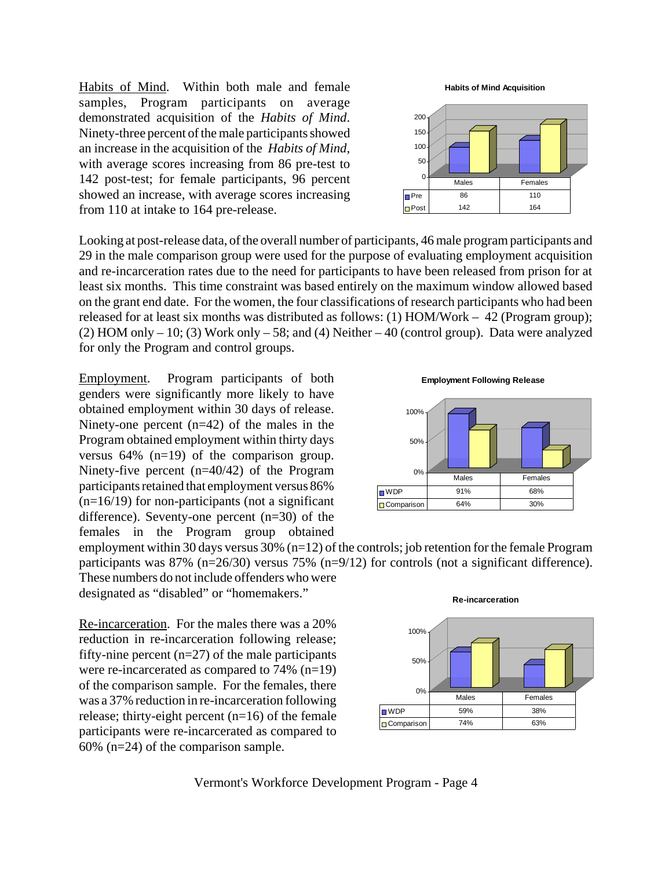Habits of Mind. Within both male and female samples, Program participants on average demonstrated acquisition of the *Habits of Mind*. Ninety-three percent of the male participants showed an increase in the acquisition of the *Habits of Mind,* with average scores increasing from 86 pre-test to 142 post-test; for female participants, 96 percent showed an increase, with average scores increasing from 110 at intake to 164 pre-release.

Looking at post-release data, of the overall number of participants, 46 male program participants and 29 in the male comparison group were used for the purpose of evaluating employment acquisition and re-incarceration rates due to the need for participants to have been released from prison for at least six months. This time constraint was based entirely on the maximum window allowed based on the grant end date. For the women, the four classifications of research participants who had been released for at least six months was distributed as follows: (1) HOM/Work – 42 (Program group); (2) HOM only – 10; (3) Work only – 58; and (4) Neither – 40 (control group). Data were analyzed for only the Program and control groups.

Employment. Program participants of both genders were significantly more likely to have obtained employment within 30 days of release. Ninety-one percent  $(n=42)$  of the males in the Program obtained employment within thirty days versus 64% (n=19) of the comparison group. Ninety-five percent (n=40/42) of the Program participants retained that employment versus 86%  $(n=16/19)$  for non-participants (not a significant difference). Seventy-one percent (n=30) of the females in the Program group obtained

**Employment Following Release**



employment within 30 days versus 30% (n=12) of the controls; job retention for the female Program participants was 87% (n=26/30) versus 75% (n=9/12) for controls (not a significant difference). These numbers do not include offenders who were

designated as "disabled" or "homemakers."

Re-incarceration. For the males there was a 20% reduction in re-incarceration following release; fifty-nine percent  $(n=27)$  of the male participants were re-incarcerated as compared to 74% (n=19) of the comparison sample. For the females, there was a 37% reduction in re-incarceration following release; thirty-eight percent  $(n=16)$  of the female participants were re-incarcerated as compared to 60% (n=24) of the comparison sample.



Vermont's Workforce Development Program - Page 4



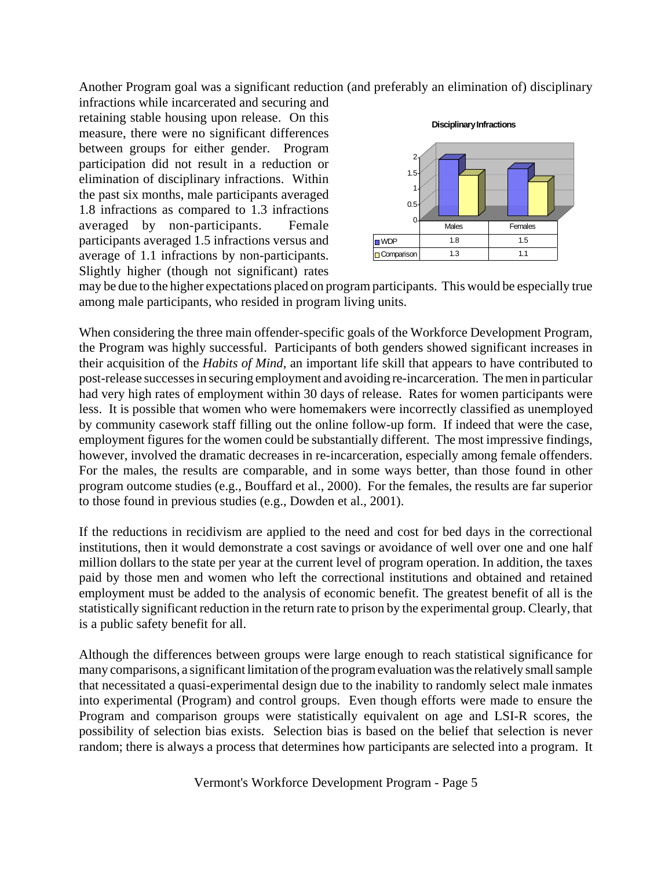Another Program goal was a significant reduction (and preferably an elimination of) disciplinary

infractions while incarcerated and securing and retaining stable housing upon release. On this measure, there were no significant differences between groups for either gender. Program participation did not result in a reduction or elimination of disciplinary infractions. Within the past six months, male participants averaged 1.8 infractions as compared to 1.3 infractions averaged by non-participants. Female participants averaged 1.5 infractions versus and average of 1.1 infractions by non-participants. Slightly higher (though not significant) rates



may be due to the higher expectations placed on program participants. This would be especially true among male participants, who resided in program living units.

When considering the three main offender-specific goals of the Workforce Development Program, the Program was highly successful. Participants of both genders showed significant increases in their acquisition of the *Habits of Mind*, an important life skill that appears to have contributed to post-release successes in securing employment and avoiding re-incarceration. The men in particular had very high rates of employment within 30 days of release. Rates for women participants were less. It is possible that women who were homemakers were incorrectly classified as unemployed by community casework staff filling out the online follow-up form. If indeed that were the case, employment figures for the women could be substantially different. The most impressive findings, however, involved the dramatic decreases in re-incarceration, especially among female offenders. For the males, the results are comparable, and in some ways better, than those found in other program outcome studies (e.g., Bouffard et al., 2000). For the females, the results are far superior to those found in previous studies (e.g., Dowden et al., 2001).

If the reductions in recidivism are applied to the need and cost for bed days in the correctional institutions, then it would demonstrate a cost savings or avoidance of well over one and one half million dollars to the state per year at the current level of program operation. In addition, the taxes paid by those men and women who left the correctional institutions and obtained and retained employment must be added to the analysis of economic benefit. The greatest benefit of all is the statistically significant reduction in the return rate to prison by the experimental group. Clearly, that is a public safety benefit for all.

Although the differences between groups were large enough to reach statistical significance for many comparisons, a significant limitation of the program evaluation was the relatively small sample that necessitated a quasi-experimental design due to the inability to randomly select male inmates into experimental (Program) and control groups. Even though efforts were made to ensure the Program and comparison groups were statistically equivalent on age and LSI-R scores, the possibility of selection bias exists. Selection bias is based on the belief that selection is never random; there is always a process that determines how participants are selected into a program. It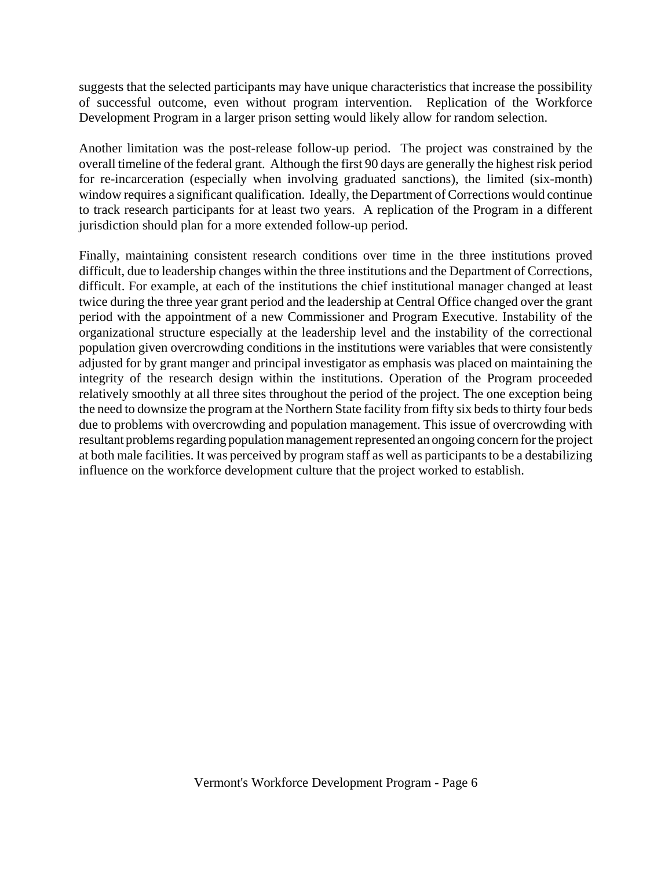suggests that the selected participants may have unique characteristics that increase the possibility of successful outcome, even without program intervention. Replication of the Workforce Development Program in a larger prison setting would likely allow for random selection.

Another limitation was the post-release follow-up period. The project was constrained by the overall timeline of the federal grant. Although the first 90 days are generally the highest risk period for re-incarceration (especially when involving graduated sanctions), the limited (six-month) window requires a significant qualification. Ideally, the Department of Corrections would continue to track research participants for at least two years. A replication of the Program in a different jurisdiction should plan for a more extended follow-up period.

Finally, maintaining consistent research conditions over time in the three institutions proved difficult, due to leadership changes within the three institutions and the Department of Corrections, difficult. For example, at each of the institutions the chief institutional manager changed at least twice during the three year grant period and the leadership at Central Office changed over the grant period with the appointment of a new Commissioner and Program Executive. Instability of the organizational structure especially at the leadership level and the instability of the correctional population given overcrowding conditions in the institutions were variables that were consistently adjusted for by grant manger and principal investigator as emphasis was placed on maintaining the integrity of the research design within the institutions. Operation of the Program proceeded relatively smoothly at all three sites throughout the period of the project. The one exception being the need to downsize the program at the Northern State facility from fifty six beds to thirty four beds due to problems with overcrowding and population management. This issue of overcrowding with resultant problems regarding population management represented an ongoing concern for the project at both male facilities. It was perceived by program staff as well as participants to be a destabilizing influence on the workforce development culture that the project worked to establish.